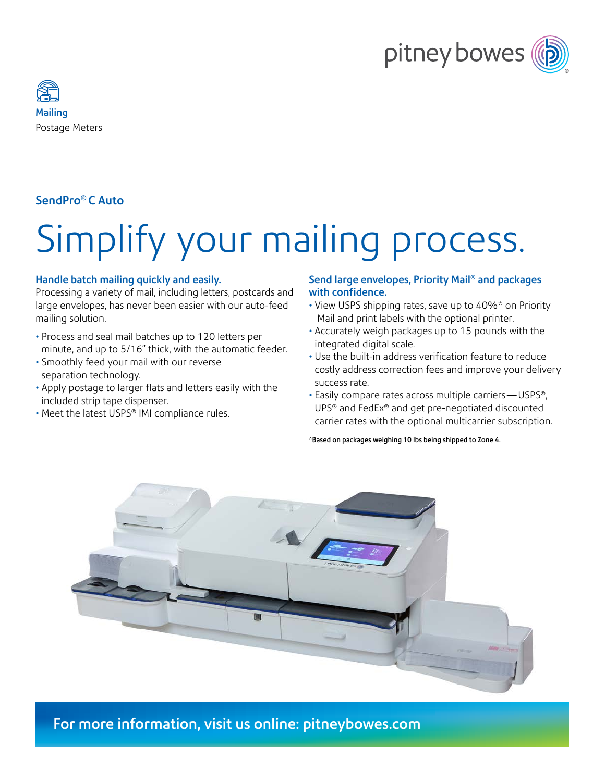



### SendPro® C Auto

# Simplify your mailing process.

#### Handle batch mailing quickly and easily.

Processing a variety of mail, including letters, postcards and large envelopes, has never been easier with our auto-feed mailing solution.

- Process and seal mail batches up to 120 letters per minute, and up to 5/16" thick, with the automatic feeder.
- Smoothly feed your mail with our reverse separation technology.
- Apply postage to larger flats and letters easily with the included strip tape dispenser.
- Meet the latest USPS® IMI compliance rules.

#### Send large envelopes, Priority Mail® and packages with confidence.

- View USPS shipping rates, save up to 40%\* on Priority Mail and print labels with the optional printer.
- Accurately weigh packages up to 15 pounds with the integrated digital scale.
- Use the built-in address verification feature to reduce costly address correction fees and improve your delivery success rate.
- Easily compare rates across multiple carriers—USPS®, UPS® and FedEx® and get pre-negotiated discounted carrier rates with the optional multicarrier subscription.

\*Based on packages weighing 10 lbs being shipped to Zone 4.



For more information, visit us online: [pitneybowes.com](https://www.pitneybowes.com/us/shipping-and-mailing/postage-meters/sendpro-c-auto.html)